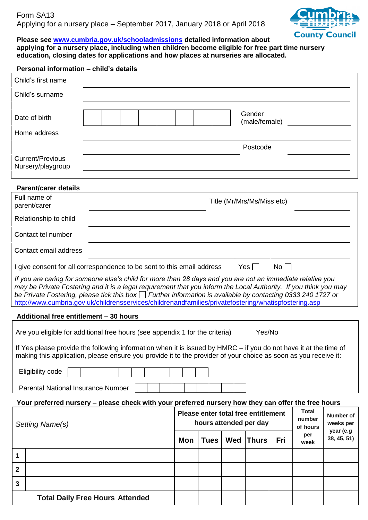

# **Please see [www.cumbria.gov.uk/schooladmissions](http://www.cumbria.gov.uk/schooladmissions) detailed information about**

**applying for a nursery place, including when children become eligible for free part time nursery education, closing dates for applications and how places at nurseries are allocated.**

| Personal information - child's details                                                                                                                                                                                                                                                                                                                                                                                                                       |                            |  |  |  |                                                                                                     |             |            |                         |            |             |                          |
|--------------------------------------------------------------------------------------------------------------------------------------------------------------------------------------------------------------------------------------------------------------------------------------------------------------------------------------------------------------------------------------------------------------------------------------------------------------|----------------------------|--|--|--|-----------------------------------------------------------------------------------------------------|-------------|------------|-------------------------|------------|-------------|--------------------------|
| Child's first name                                                                                                                                                                                                                                                                                                                                                                                                                                           |                            |  |  |  |                                                                                                     |             |            |                         |            |             |                          |
| Child's surname                                                                                                                                                                                                                                                                                                                                                                                                                                              |                            |  |  |  |                                                                                                     |             |            |                         |            |             |                          |
| Date of birth                                                                                                                                                                                                                                                                                                                                                                                                                                                |                            |  |  |  |                                                                                                     |             |            | Gender<br>(male/female) |            |             |                          |
| Home address                                                                                                                                                                                                                                                                                                                                                                                                                                                 |                            |  |  |  |                                                                                                     |             |            |                         |            |             |                          |
|                                                                                                                                                                                                                                                                                                                                                                                                                                                              |                            |  |  |  |                                                                                                     |             |            | Postcode                |            |             |                          |
| <b>Current/Previous</b><br>Nursery/playgroup                                                                                                                                                                                                                                                                                                                                                                                                                 |                            |  |  |  |                                                                                                     |             |            |                         |            |             |                          |
| <b>Parent/carer details</b>                                                                                                                                                                                                                                                                                                                                                                                                                                  |                            |  |  |  |                                                                                                     |             |            |                         |            |             |                          |
| Full name of<br>parent/carer                                                                                                                                                                                                                                                                                                                                                                                                                                 | Title (Mr/Mrs/Ms/Miss etc) |  |  |  |                                                                                                     |             |            |                         |            |             |                          |
| Relationship to child                                                                                                                                                                                                                                                                                                                                                                                                                                        |                            |  |  |  |                                                                                                     |             |            |                         |            |             |                          |
| Contact tel number                                                                                                                                                                                                                                                                                                                                                                                                                                           |                            |  |  |  |                                                                                                     |             |            |                         |            |             |                          |
| Contact email address                                                                                                                                                                                                                                                                                                                                                                                                                                        |                            |  |  |  |                                                                                                     |             |            |                         |            |             |                          |
| Yes $\Box$<br>I give consent for all correspondence to be sent to this email address<br>No                                                                                                                                                                                                                                                                                                                                                                   |                            |  |  |  |                                                                                                     |             |            |                         |            |             |                          |
| If you are caring for someone else's child for more than 28 days and you are not an immediate relative you<br>may be Private Fostering and it is a legal requirement that you inform the Local Authority. If you think you may<br>be Private Fostering, please tick this box $\Box$ Further information is available by contacting 0333 240 1727 or<br>http://www.cumbria.gov.uk/childrensservices/childrenandfamilies/privatefostering/whatispfostering.asp |                            |  |  |  |                                                                                                     |             |            |                         |            |             |                          |
| Additional free entitlement - 30 hours                                                                                                                                                                                                                                                                                                                                                                                                                       |                            |  |  |  |                                                                                                     |             |            |                         |            |             |                          |
| Are you eligible for additional free hours (see appendix 1 for the criteria)<br>Yes/No                                                                                                                                                                                                                                                                                                                                                                       |                            |  |  |  |                                                                                                     |             |            |                         |            |             |                          |
| If Yes please provide the following information when it is issued by HMRC - if you do not have it at the time of                                                                                                                                                                                                                                                                                                                                             |                            |  |  |  |                                                                                                     |             |            |                         |            |             |                          |
| making this application, please ensure you provide it to the provider of your choice as soon as you receive it:                                                                                                                                                                                                                                                                                                                                              |                            |  |  |  |                                                                                                     |             |            |                         |            |             |                          |
| Eligibility code                                                                                                                                                                                                                                                                                                                                                                                                                                             |                            |  |  |  |                                                                                                     |             |            |                         |            |             |                          |
| <b>Parental National Insurance Number</b>                                                                                                                                                                                                                                                                                                                                                                                                                    |                            |  |  |  |                                                                                                     |             |            |                         |            |             |                          |
| Your preferred nursery - please check with your preferred nursery how they can offer the free hours                                                                                                                                                                                                                                                                                                                                                          |                            |  |  |  |                                                                                                     |             |            |                         |            |             |                          |
| Setting Name(s)                                                                                                                                                                                                                                                                                                                                                                                                                                              |                            |  |  |  | <b>Total</b><br>Please enter total free entitlement<br>number<br>hours attended per day<br>of hours |             |            |                         |            |             | Number of<br>weeks per   |
|                                                                                                                                                                                                                                                                                                                                                                                                                                                              |                            |  |  |  | <b>Mon</b>                                                                                          | <b>Tues</b> | <b>Wed</b> | <b>Thurs</b>            | <b>Fri</b> | per<br>week | year (e.g<br>38, 45, 51) |
| 1                                                                                                                                                                                                                                                                                                                                                                                                                                                            |                            |  |  |  |                                                                                                     |             |            |                         |            |             |                          |
| $\overline{\mathbf{2}}$                                                                                                                                                                                                                                                                                                                                                                                                                                      |                            |  |  |  |                                                                                                     |             |            |                         |            |             |                          |
| 3                                                                                                                                                                                                                                                                                                                                                                                                                                                            |                            |  |  |  |                                                                                                     |             |            |                         |            |             |                          |
| <b>Total Daily Free Hours Attended</b>                                                                                                                                                                                                                                                                                                                                                                                                                       |                            |  |  |  |                                                                                                     |             |            |                         |            |             |                          |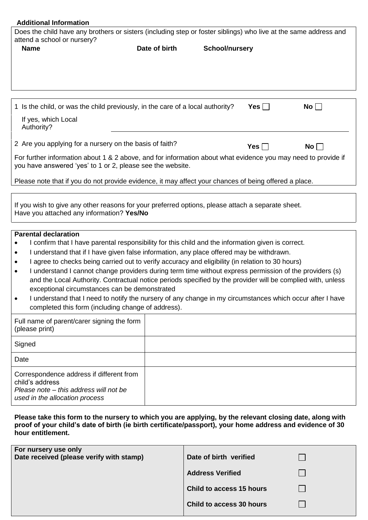| <b>Additional Information</b>                                                                                                                                                                                                                                                                                                                                                                                                                                                                                                                                                                                                                                                                                                                                                   |               |                       |                    |  |  |  |  |
|---------------------------------------------------------------------------------------------------------------------------------------------------------------------------------------------------------------------------------------------------------------------------------------------------------------------------------------------------------------------------------------------------------------------------------------------------------------------------------------------------------------------------------------------------------------------------------------------------------------------------------------------------------------------------------------------------------------------------------------------------------------------------------|---------------|-----------------------|--------------------|--|--|--|--|
| Does the child have any brothers or sisters (including step or foster siblings) who live at the same address and<br>attend a school or nursery?                                                                                                                                                                                                                                                                                                                                                                                                                                                                                                                                                                                                                                 |               |                       |                    |  |  |  |  |
| <b>Name</b>                                                                                                                                                                                                                                                                                                                                                                                                                                                                                                                                                                                                                                                                                                                                                                     | Date of birth | <b>School/nursery</b> |                    |  |  |  |  |
|                                                                                                                                                                                                                                                                                                                                                                                                                                                                                                                                                                                                                                                                                                                                                                                 |               |                       |                    |  |  |  |  |
| 1 Is the child, or was the child previously, in the care of a local authority?                                                                                                                                                                                                                                                                                                                                                                                                                                                                                                                                                                                                                                                                                                  |               | Yes                   | No                 |  |  |  |  |
| If yes, which Local<br>Authority?                                                                                                                                                                                                                                                                                                                                                                                                                                                                                                                                                                                                                                                                                                                                               |               |                       |                    |  |  |  |  |
| 2 Are you applying for a nursery on the basis of faith?                                                                                                                                                                                                                                                                                                                                                                                                                                                                                                                                                                                                                                                                                                                         |               | Yes $\Box$            | $\mathsf{No} \Box$ |  |  |  |  |
| For further information about 1 & 2 above, and for information about what evidence you may need to provide if<br>you have answered 'yes' to 1 or 2, please see the website.                                                                                                                                                                                                                                                                                                                                                                                                                                                                                                                                                                                                     |               |                       |                    |  |  |  |  |
| Please note that if you do not provide evidence, it may affect your chances of being offered a place.                                                                                                                                                                                                                                                                                                                                                                                                                                                                                                                                                                                                                                                                           |               |                       |                    |  |  |  |  |
| If you wish to give any other reasons for your preferred options, please attach a separate sheet.<br>Have you attached any information? Yes/No                                                                                                                                                                                                                                                                                                                                                                                                                                                                                                                                                                                                                                  |               |                       |                    |  |  |  |  |
| <b>Parental declaration</b><br>I confirm that I have parental responsibility for this child and the information given is correct.<br>I understand that if I have given false information, any place offered may be withdrawn.<br>I agree to checks being carried out to verify accuracy and eligibility (in relation to 30 hours)<br>I understand I cannot change providers during term time without express permission of the providers (s)<br>and the Local Authority. Contractual notice periods specified by the provider will be complied with, unless<br>exceptional circumstances can be demonstrated<br>I understand that I need to notify the nursery of any change in my circumstances which occur after I have<br>completed this form (including change of address). |               |                       |                    |  |  |  |  |
| Full name of parent/carer signing the form<br>(please print)                                                                                                                                                                                                                                                                                                                                                                                                                                                                                                                                                                                                                                                                                                                    |               |                       |                    |  |  |  |  |
| Signed                                                                                                                                                                                                                                                                                                                                                                                                                                                                                                                                                                                                                                                                                                                                                                          |               |                       |                    |  |  |  |  |
| Date                                                                                                                                                                                                                                                                                                                                                                                                                                                                                                                                                                                                                                                                                                                                                                            |               |                       |                    |  |  |  |  |
| Correspondence address if different from<br>child's address<br>Please note – this address will not be<br>used in the allocation process                                                                                                                                                                                                                                                                                                                                                                                                                                                                                                                                                                                                                                         |               |                       |                    |  |  |  |  |
| Please take this form to the nursery to which you are applying, by the relevant closing date, along with<br>nroof of your child's dato of birth (io birth cortificate/passport), your home address and evidence of 30                                                                                                                                                                                                                                                                                                                                                                                                                                                                                                                                                           |               |                       |                    |  |  |  |  |

**proof of your child's date of birth (ie birth certificate/passport), your home address and evidence of 30 hour entitlement.**

| For nursery use only<br>Date received (please verify with stamp) | Date of birth verified   |  |
|------------------------------------------------------------------|--------------------------|--|
|                                                                  | <b>Address Verified</b>  |  |
|                                                                  | Child to access 15 hours |  |
|                                                                  | Child to access 30 hours |  |